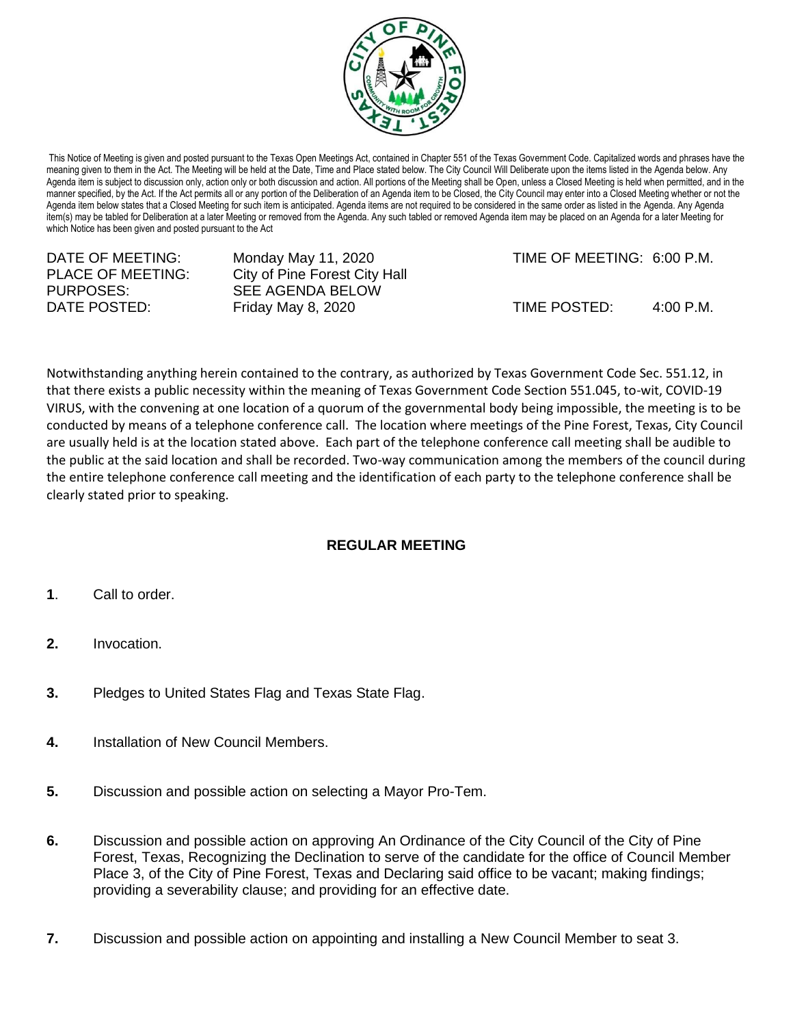

This Notice of Meeting is given and posted pursuant to the Texas Open Meetings Act, contained in Chapter 551 of the Texas Government Code. Capitalized words and phrases have the meaning given to them in the Act. The Meeting will be held at the Date, Time and Place stated below. The City Council Will Deliberate upon the items listed in the Agenda below. Any Agenda item is subject to discussion only, action only or both discussion and action. All portions of the Meeting shall be Open, unless a Closed Meeting is held when permitted, and in the manner specified, by the Act. If the Act permits all or any portion of the Deliberation of an Agenda item to be Closed, the City Council may enter into a Closed Meeting whether or not the Agenda item below states that a Closed Meeting for such item is anticipated. Agenda items are not required to be considered in the same order as listed in the Agenda. Any Agenda item(s) may be tabled for Deliberation at a later Meeting or removed from the Agenda. Any such tabled or removed Agenda item may be placed on an Agenda for a later Meeting for which Notice has been given and posted pursuant to the Act

| DATE OF MEETING:<br>PLACE OF MEETING: | Monday May 11, 2020<br>City of Pine Forest City Hall | TIME OF MEETING: 6:00 P.M. |                     |
|---------------------------------------|------------------------------------------------------|----------------------------|---------------------|
| PURPOSES:                             | SEE AGENDA BELOW                                     |                            |                     |
| DATE POSTED:                          | <b>Friday May 8, 2020</b>                            | TIME POSTED:               | $4:00 \text{ P.M.}$ |

Notwithstanding anything herein contained to the contrary, as authorized by Texas Government Code Sec. 551.12, in that there exists a public necessity within the meaning of Texas Government Code Section 551.045, to-wit, COVID-19 VIRUS, with the convening at one location of a quorum of the governmental body being impossible, the meeting is to be conducted by means of a telephone conference call. The location where meetings of the Pine Forest, Texas, City Council are usually held is at the location stated above. Each part of the telephone conference call meeting shall be audible to the public at the said location and shall be recorded. Two-way communication among the members of the council during the entire telephone conference call meeting and the identification of each party to the telephone conference shall be clearly stated prior to speaking.

## **REGULAR MEETING**

- **1**. Call to order.
- **2.** Invocation.
- **3.** Pledges to United States Flag and Texas State Flag.
- **4.** Installation of New Council Members.
- **5.** Discussion and possible action on selecting a Mayor Pro-Tem.
- **6.** Discussion and possible action on approving An Ordinance of the City Council of the City of Pine Forest, Texas, Recognizing the Declination to serve of the candidate for the office of Council Member Place 3, of the City of Pine Forest, Texas and Declaring said office to be vacant; making findings; providing a severability clause; and providing for an effective date.
- **7.** Discussion and possible action on appointing and installing a New Council Member to seat 3.